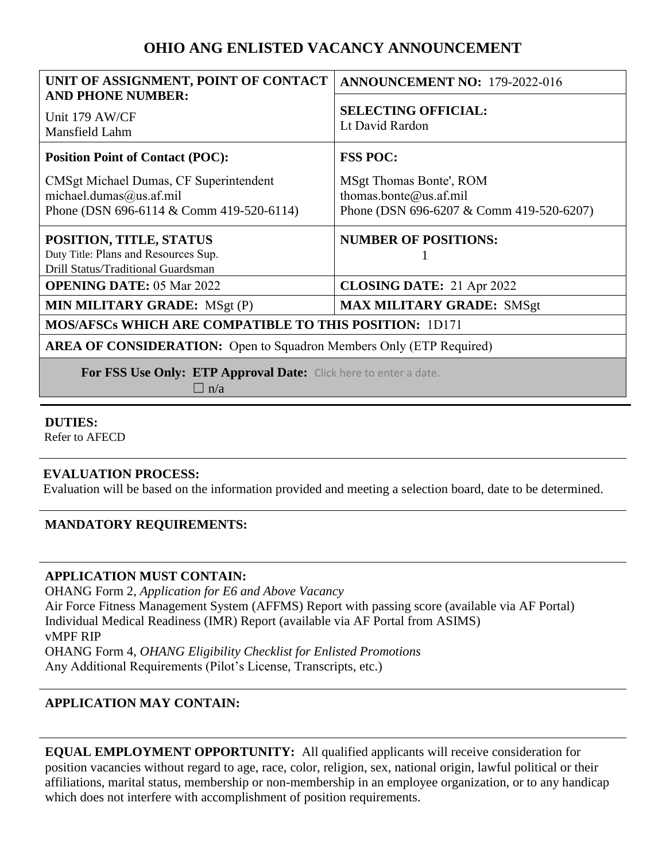# **OHIO ANG ENLISTED VACANCY ANNOUNCEMENT**

| UNIT OF ASSIGNMENT, POINT OF CONTACT                                                                          | <b>ANNOUNCEMENT NO: 179-2022-016</b>                                                          |
|---------------------------------------------------------------------------------------------------------------|-----------------------------------------------------------------------------------------------|
| <b>AND PHONE NUMBER:</b><br>Unit 179 AW/CF<br>Mansfield Lahm                                                  | <b>SELECTING OFFICIAL:</b><br>Lt David Rardon                                                 |
| <b>Position Point of Contact (POC):</b>                                                                       | <b>FSS POC:</b>                                                                               |
| CMSgt Michael Dumas, CF Superintendent<br>michael.dumas@us.af.mil<br>Phone (DSN 696-6114 & Comm 419-520-6114) | MSgt Thomas Bonte', ROM<br>thomas.bonte@us.af.mil<br>Phone (DSN 696-6207 & Comm 419-520-6207) |
| POSITION, TITLE, STATUS<br>Duty Title: Plans and Resources Sup.<br>Drill Status/Traditional Guardsman         | <b>NUMBER OF POSITIONS:</b>                                                                   |
| <b>OPENING DATE: 05 Mar 2022</b>                                                                              | <b>CLOSING DATE:</b> 21 Apr 2022                                                              |
| <b>MIN MILITARY GRADE:</b> MSgt (P)                                                                           | <b>MAX MILITARY GRADE: SMSgt</b>                                                              |
| <b>MOS/AFSCs WHICH ARE COMPATIBLE TO THIS POSITION: 1D171</b>                                                 |                                                                                               |
| <b>AREA OF CONSIDERATION:</b> Open to Squadron Members Only (ETP Required)                                    |                                                                                               |
| For FSS Use Only: ETP Approval Date: Click here to enter a date.<br>$\Box$ n/a                                |                                                                                               |

## **DUTIES:**

Refer to AFECD

## **EVALUATION PROCESS:**

Evaluation will be based on the information provided and meeting a selection board, date to be determined.

## **MANDATORY REQUIREMENTS:**

#### **APPLICATION MUST CONTAIN:**

OHANG Form 2, *Application for E6 and Above Vacancy* Air Force Fitness Management System (AFFMS) Report with passing score (available via AF Portal) Individual Medical Readiness (IMR) Report (available via AF Portal from ASIMS) vMPF RIP OHANG Form 4, *OHANG Eligibility Checklist for Enlisted Promotions* Any Additional Requirements (Pilot's License, Transcripts, etc.)

## **APPLICATION MAY CONTAIN:**

**EQUAL EMPLOYMENT OPPORTUNITY:** All qualified applicants will receive consideration for position vacancies without regard to age, race, color, religion, sex, national origin, lawful political or their affiliations, marital status, membership or non-membership in an employee organization, or to any handicap which does not interfere with accomplishment of position requirements.